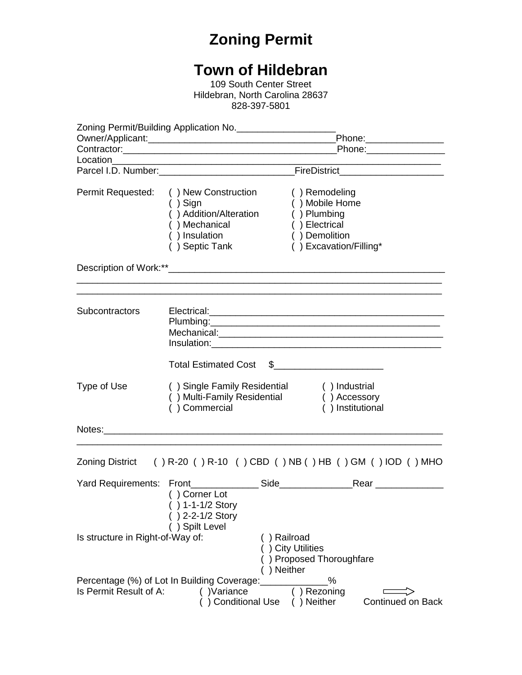## **Zoning Permit**

## **Town of Hildebran**

109 South Center Street Hildebran, North Carolina 28637 828-397-5801

|                                  |                                                                                                                 | Phone:_________________                      |                                                                                                            |                          |  |
|----------------------------------|-----------------------------------------------------------------------------------------------------------------|----------------------------------------------|------------------------------------------------------------------------------------------------------------|--------------------------|--|
|                                  |                                                                                                                 |                                              |                                                                                                            |                          |  |
|                                  |                                                                                                                 |                                              |                                                                                                            |                          |  |
| Permit Requested:                | () New Construction<br>$( )$ Sign<br>() Addition/Alteration<br>() Mechanical<br>() Insulation<br>() Septic Tank |                                              | () Remodeling<br>() Mobile Home<br>() Plumbing<br>() Electrical<br>() Demolition<br>() Excavation/Filling* |                          |  |
|                                  |                                                                                                                 |                                              |                                                                                                            |                          |  |
| Subcontractors                   |                                                                                                                 |                                              |                                                                                                            |                          |  |
|                                  | <b>Total Estimated Cost</b>                                                                                     |                                              | $\frac{1}{2}$                                                                                              |                          |  |
| Type of Use                      | () Single Family Residential<br>() Multi-Family Residential<br>() Commercial                                    |                                              | () Industrial<br>() Accessory<br>() Institutional                                                          |                          |  |
|                                  |                                                                                                                 |                                              |                                                                                                            |                          |  |
|                                  | Zoning District () R-20 () R-10 () CBD () NB () HB () GM () IOD () MHO                                          |                                              |                                                                                                            |                          |  |
|                                  | Yard Requirements: Front Side Side<br>() Corner Lot<br>() 1-1-1/2 Story<br>) 2-2-1/2 Story<br>() Spilt Level    |                                              |                                                                                                            | Rear _______________     |  |
| Is structure in Right-of-Way of: |                                                                                                                 | ) Railroad<br>() City Utilities<br>) Neither | ) Proposed Thoroughfare                                                                                    |                          |  |
| Is Permit Result of A:           | Percentage (%) of Lot In Building Coverage:<br>()Variance<br><b>Conditional Use</b>                             |                                              | %<br>) Rezoning<br>) Neither                                                                               | <b>Continued on Back</b> |  |